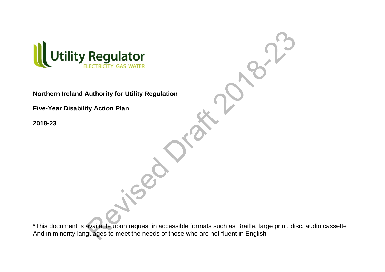

**Northern Ireland Authority for Utility Regulation**

**Five-Year Disability Action Plan** 

**2018-23**

**\***This document is available upon request in accessible formats such as Braille, large print, disc, audio cassette And in minority languages to meet the needs of those who are not fluent in English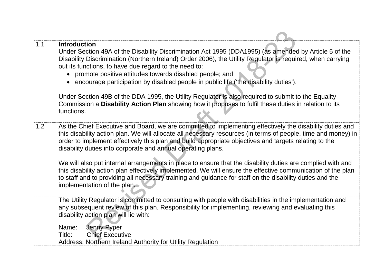| 1.1 | <b>Introduction</b><br>Under Section 49A of the Disability Discrimination Act 1995 (DDA1995) (as amended by Article 5 of the<br>Disability Discrimination (Northern Ireland) Order 2006), the Utility Regulator is required, when carrying<br>out its functions, to have due regard to the need to:<br>• promote positive attitudes towards disabled people; and<br>• encourage participation by disabled people in public life ('the disability duties').<br>Under Section 49B of the DDA 1995, the Utility Regulator is also required to submit to the Equality<br>Commission a Disability Action Plan showing how it proposes to fulfil these duties in relation to its<br>functions.                                                                                   |
|-----|----------------------------------------------------------------------------------------------------------------------------------------------------------------------------------------------------------------------------------------------------------------------------------------------------------------------------------------------------------------------------------------------------------------------------------------------------------------------------------------------------------------------------------------------------------------------------------------------------------------------------------------------------------------------------------------------------------------------------------------------------------------------------|
| 1.2 | As the Chief Executive and Board, we are committed to implementing effectively the disability duties and<br>this disability action plan. We will allocate all necessary resources (in terms of people, time and money) in<br>order to implement effectively this plan and build appropriate objectives and targets relating to the<br>disability duties into corporate and annual operating plans.<br>We will also put internal arrangements in place to ensure that the disability duties are complied with and<br>this disability action plan effectively implemented. We will ensure the effective communication of the plan<br>to staff and to providing all necessary training and guidance for staff on the disability duties and the<br>implementation of the plan. |
|     | The Utility Regulator is committed to consulting with people with disabilities in the implementation and<br>any subsequent review of this plan. Responsibility for implementing, reviewing and evaluating this<br>disability action plan will lie with:<br>Name:<br>Jenny Pyper<br><b>Chief Executive</b><br>Title:<br>Address: Northern Ireland Authority for Utility Regulation                                                                                                                                                                                                                                                                                                                                                                                          |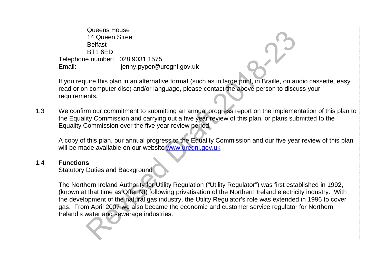|     | <b>Queens House</b><br>14 Queen Street                     |                                                                                                                                                                                                                                                                                                                                                                                                                                      |
|-----|------------------------------------------------------------|--------------------------------------------------------------------------------------------------------------------------------------------------------------------------------------------------------------------------------------------------------------------------------------------------------------------------------------------------------------------------------------------------------------------------------------|
|     | <b>Belfast</b>                                             |                                                                                                                                                                                                                                                                                                                                                                                                                                      |
|     | BT1 6ED                                                    |                                                                                                                                                                                                                                                                                                                                                                                                                                      |
|     | Telephone number: 028 9031 1575                            |                                                                                                                                                                                                                                                                                                                                                                                                                                      |
|     | Email:                                                     | jenny.pyper@uregni.gov.uk                                                                                                                                                                                                                                                                                                                                                                                                            |
|     |                                                            | If you require this plan in an alternative format (such as in large print, in Braille, on audio cassette, easy                                                                                                                                                                                                                                                                                                                       |
|     | requirements.                                              | read or on computer disc) and/or language, please contact the above person to discuss your                                                                                                                                                                                                                                                                                                                                           |
| 1.3 |                                                            | We confirm our commitment to submitting an annual progress report on the implementation of this plan to<br>the Equality Commission and carrying out a five year review of this plan, or plans submitted to the<br>Equality Commission over the five year review period.                                                                                                                                                              |
|     |                                                            | A copy of this plan, our annual progress to the Equality Commission and our five year review of this plan<br>will be made available on our website www.uregni.gov.uk                                                                                                                                                                                                                                                                 |
| 1.4 | <b>Functions</b><br><b>Statutory Duties and Background</b> |                                                                                                                                                                                                                                                                                                                                                                                                                                      |
|     | Ireland's water and sewerage industries.                   | The Northern Ireland Authority for Utility Regulation ("Utility Regulator") was first established in 1992,<br>(known at that time as Offer NI) following privatisation of the Northern Ireland electricity industry. With<br>the development of the natural gas industry, the Utility Regulator's role was extended in 1996 to cover<br>gas. From April 2007 we also became the economic and customer service regulator for Northern |
|     |                                                            |                                                                                                                                                                                                                                                                                                                                                                                                                                      |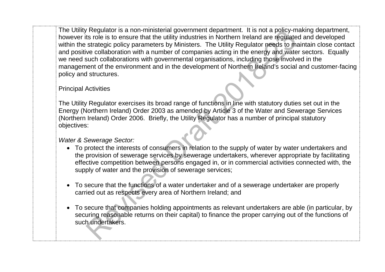The Utility Regulator is a non-ministerial government department. It is not a policy-making department, however its role is to ensure that the utility industries in Northern Ireland are regulated and developed within the strategic policy parameters by Ministers. The Utility Regulator needs to maintain close contact and positive collaboration with a number of companies acting in the energy and water sectors. Equally we need such collaborations with governmental organisations, including those involved in the management of the environment and in the development of Northern Ireland's social and customer-facing policy and structures.

Principal Activities

The Utility Regulator exercises its broad range of functions in line with statutory duties set out in the Energy (Northern Ireland) Order 2003 as amended by Article 3 of the Water and Sewerage Services (Northern Ireland) Order 2006. Briefly, the Utility Regulator has a number of principal statutory objectives:

*Water & Sewerage Sector:*

- To protect the interests of consumers in relation to the supply of water by water undertakers and the provision of sewerage services by sewerage undertakers, wherever appropriate by facilitating effective competition between persons engaged in, or in commercial activities connected with, the supply of water and the provision of sewerage services;
- To secure that the functions of a water undertaker and of a sewerage undertaker are properly carried out as respects every area of Northern Ireland; and
- To secure that companies holding appointments as relevant undertakers are able (in particular, by securing reasonable returns on their capital) to finance the proper carrying out of the functions of such undertakers.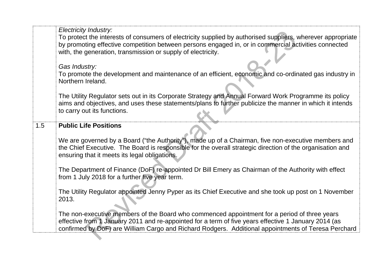|     | <b>Electricity Industry:</b><br>To protect the interests of consumers of electricity supplied by authorised suppliers, wherever appropriate<br>by promoting effective competition between persons engaged in, or in commercial activities connected<br>with, the generation, transmission or supply of electricity.<br>Gas Industry:<br>To promote the development and maintenance of an efficient, economic and co-ordinated gas industry in |
|-----|-----------------------------------------------------------------------------------------------------------------------------------------------------------------------------------------------------------------------------------------------------------------------------------------------------------------------------------------------------------------------------------------------------------------------------------------------|
|     | Northern Ireland.<br>The Utility Regulator sets out in its Corporate Strategy and Annual Forward Work Programme its policy<br>aims and objectives, and uses these statements/plans to further publicize the manner in which it intends<br>to carry out its functions.                                                                                                                                                                         |
| 1.5 | <b>Public Life Positions</b><br>We are governed by a Board ("the Authority"), made up of a Chairman, five non-executive members and<br>the Chief Executive. The Board is responsible for the overall strategic direction of the organisation and<br>ensuring that it meets its legal obligations.                                                                                                                                             |
|     | The Department of Finance (DoF) re-appointed Dr Bill Emery as Chairman of the Authority with effect<br>from 1 July 2018 for a further five year term.                                                                                                                                                                                                                                                                                         |
|     | The Utility Regulator appointed Jenny Pyper as its Chief Executive and she took up post on 1 November<br>2013.                                                                                                                                                                                                                                                                                                                                |
|     | The non-executive members of the Board who commenced appointment for a period of three years<br>effective from 1 January 2011 and re-appointed for a term of five years effective 1 January 2014 (as<br>confirmed by DoF) are William Cargo and Richard Rodgers. Additional appointments of Teresa Perchard                                                                                                                                   |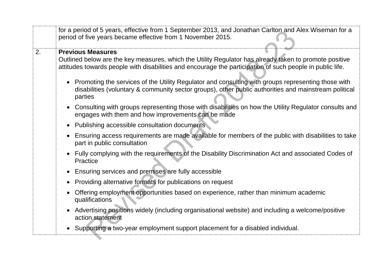| <b>Previous Measures</b><br>2.<br>Outlined below are the key measures, which the Utility Regulator has already taken to promote positive<br>attitudes towards people with disabilities and encourage the participation of such people in public life.<br>Promoting the services of the Utility Regulator and consulting with groups representing those with<br>disabilities (voluntary & community sector groups), other public authorities and mainstream political<br>parties<br>Consulting with groups representing those with disabilities on how the Utility Regulator consults and<br>engages with them and how improvements can be made<br>Publishing accessible consultation documents<br>Ensuring access requirements are made available for members of the public with disabilities to take<br>part in public consultation<br>Fully complying with the requirements of the Disability Discrimination Act and associated Codes of<br>Practice<br>Ensuring services and premises are fully accessible | for a period of 5 years, effective from 1 September 2013, and Jonathan Carlton and Alex Wiseman for a |
|---------------------------------------------------------------------------------------------------------------------------------------------------------------------------------------------------------------------------------------------------------------------------------------------------------------------------------------------------------------------------------------------------------------------------------------------------------------------------------------------------------------------------------------------------------------------------------------------------------------------------------------------------------------------------------------------------------------------------------------------------------------------------------------------------------------------------------------------------------------------------------------------------------------------------------------------------------------------------------------------------------------|-------------------------------------------------------------------------------------------------------|
|                                                                                                                                                                                                                                                                                                                                                                                                                                                                                                                                                                                                                                                                                                                                                                                                                                                                                                                                                                                                               |                                                                                                       |
|                                                                                                                                                                                                                                                                                                                                                                                                                                                                                                                                                                                                                                                                                                                                                                                                                                                                                                                                                                                                               |                                                                                                       |
|                                                                                                                                                                                                                                                                                                                                                                                                                                                                                                                                                                                                                                                                                                                                                                                                                                                                                                                                                                                                               |                                                                                                       |
|                                                                                                                                                                                                                                                                                                                                                                                                                                                                                                                                                                                                                                                                                                                                                                                                                                                                                                                                                                                                               |                                                                                                       |
|                                                                                                                                                                                                                                                                                                                                                                                                                                                                                                                                                                                                                                                                                                                                                                                                                                                                                                                                                                                                               |                                                                                                       |
|                                                                                                                                                                                                                                                                                                                                                                                                                                                                                                                                                                                                                                                                                                                                                                                                                                                                                                                                                                                                               |                                                                                                       |
|                                                                                                                                                                                                                                                                                                                                                                                                                                                                                                                                                                                                                                                                                                                                                                                                                                                                                                                                                                                                               |                                                                                                       |
| Providing alternative formats for publications on request                                                                                                                                                                                                                                                                                                                                                                                                                                                                                                                                                                                                                                                                                                                                                                                                                                                                                                                                                     |                                                                                                       |
| Offering employment opportunities based on experience, rather than minimum academic<br>qualifications                                                                                                                                                                                                                                                                                                                                                                                                                                                                                                                                                                                                                                                                                                                                                                                                                                                                                                         |                                                                                                       |
| Advertising positions widely (including organisational website) and including a welcome/positive<br>action statement                                                                                                                                                                                                                                                                                                                                                                                                                                                                                                                                                                                                                                                                                                                                                                                                                                                                                          |                                                                                                       |
| Supporting a two-year employment support placement for a disabled individual.                                                                                                                                                                                                                                                                                                                                                                                                                                                                                                                                                                                                                                                                                                                                                                                                                                                                                                                                 |                                                                                                       |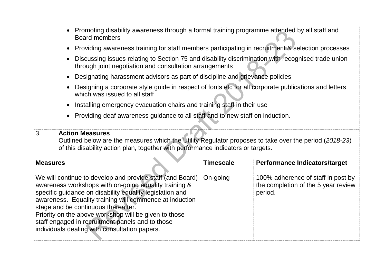|                                                                                                                                                               | Promoting disability awareness through a formal training programme attended by all staff and<br><b>Board members</b>                                                                                                 |                  |                                      |  |
|---------------------------------------------------------------------------------------------------------------------------------------------------------------|----------------------------------------------------------------------------------------------------------------------------------------------------------------------------------------------------------------------|------------------|--------------------------------------|--|
| Providing awareness training for staff members participating in recruitment & selection processes                                                             |                                                                                                                                                                                                                      |                  |                                      |  |
| Discussing issues relating to Section 75 and disability discrimination with recognised trade union<br>through joint negotiation and consultation arrangements |                                                                                                                                                                                                                      |                  |                                      |  |
| Designating harassment advisors as part of discipline and grievance policies                                                                                  |                                                                                                                                                                                                                      |                  |                                      |  |
| Designing a corporate style guide in respect of fonts etc for all corporate publications and letters<br>which was issued to all staff                         |                                                                                                                                                                                                                      |                  |                                      |  |
| Installing emergency evacuation chairs and training staff in their use                                                                                        |                                                                                                                                                                                                                      |                  |                                      |  |
|                                                                                                                                                               | Providing deaf awareness guidance to all staff and to new staff on induction.                                                                                                                                        |                  |                                      |  |
|                                                                                                                                                               |                                                                                                                                                                                                                      |                  |                                      |  |
| 3.                                                                                                                                                            | <b>Action Measures</b><br>Outlined below are the measures which the Utility Regulator proposes to take over the period (2018-23)<br>of this disability action plan, together with performance indicators or targets. |                  |                                      |  |
|                                                                                                                                                               |                                                                                                                                                                                                                      |                  |                                      |  |
| <b>Measures</b>                                                                                                                                               |                                                                                                                                                                                                                      | <b>Timescale</b> | <b>Performance Indicators/target</b> |  |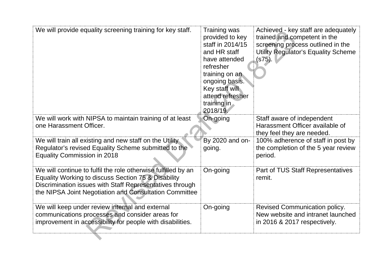| We will provide equality screening training for key staff.                                                                                                                                                                                 | Training was<br>provided to key<br>staff in 2014/15<br>and HR staff<br>have attended<br>refresher<br>training on an<br>ongoing basis.<br>Key staff will<br>attend refresher<br>training in<br>2018/19. | Achieved - key staff are adequately<br>trained and competent in the<br>screening process outlined in the<br>Utility Regulator's Equality Scheme<br>(s75). |
|--------------------------------------------------------------------------------------------------------------------------------------------------------------------------------------------------------------------------------------------|--------------------------------------------------------------------------------------------------------------------------------------------------------------------------------------------------------|-----------------------------------------------------------------------------------------------------------------------------------------------------------|
| We will work with NIPSA to maintain training of at least                                                                                                                                                                                   | On-going                                                                                                                                                                                               | Staff aware of independent                                                                                                                                |
| one Harassment Officer.                                                                                                                                                                                                                    |                                                                                                                                                                                                        | Harassment Officer available of<br>they feel they are needed.                                                                                             |
| We will train all existing and new staff on the Utility<br>Regulator's revised Equality Scheme submitted to the<br><b>Equality Commission in 2018</b>                                                                                      | By 2020 and on-<br>going.                                                                                                                                                                              | 100% adherence of staff in post by<br>the completion of the 5 year review<br>period.                                                                      |
|                                                                                                                                                                                                                                            |                                                                                                                                                                                                        |                                                                                                                                                           |
| We will continue to fulfil the role otherwise fulfilled by an<br>Equality Working to discuss Section 75 & Disability<br>Discrimination issues with Staff Representatives through<br>the NIPSA Joint Negotiation and Consultation Committee | On-going                                                                                                                                                                                               | Part of TUS Staff Representatives<br>remit.                                                                                                               |
| We will keep under review internal and external<br>communications processes and consider areas for<br>improvement in accessibility for people with disabilities.                                                                           | On-going                                                                                                                                                                                               | <b>Revised Communication policy.</b><br>New website and intranet launched<br>in 2016 & 2017 respectively.                                                 |
|                                                                                                                                                                                                                                            |                                                                                                                                                                                                        |                                                                                                                                                           |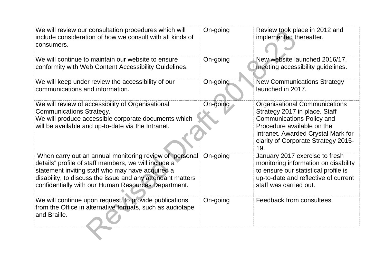| We will review our consultation procedures which will<br>include consideration of how we consult with all kinds of<br>consumers.                                                                                                                                                         | On-going | Review took place in 2012 and<br>implemented thereafter.                                                                                                                                                                    |
|------------------------------------------------------------------------------------------------------------------------------------------------------------------------------------------------------------------------------------------------------------------------------------------|----------|-----------------------------------------------------------------------------------------------------------------------------------------------------------------------------------------------------------------------------|
| We will continue to maintain our website to ensure<br>conformity with Web Content Accessibility Guidelines.                                                                                                                                                                              | On-going | New website launched 2016/17,<br>meeting accessibility guidelines.                                                                                                                                                          |
| We will keep under review the accessibility of our<br>communications and information.                                                                                                                                                                                                    | On-going | <b>New Communications Strategy</b><br>launched in 2017.                                                                                                                                                                     |
| We will review of accessibility of Organisational<br><b>Communications Strategy.</b><br>We will produce accessible corporate documents which<br>will be available and up-to-date via the Intranet.                                                                                       | On-going | <b>Organisational Communications</b><br>Strategy 2017 in place. Staff<br><b>Communications Policy and</b><br>Procedure available on the<br>Intranet. Awarded Crystal Mark for<br>clarity of Corporate Strategy 2015-<br>19. |
| When carry out an annual monitoring review of "personal<br>details" profile of staff members, we will include a<br>statement inviting staff who may have acquired a<br>disability, to discuss the issue and any attendant matters<br>confidentially with our Human Resources Department. | On-going | January 2017 exercise to fresh<br>monitoring information on disability<br>to ensure our statistical profile is<br>up-to-date and reflective of current<br>staff was carried out.                                            |
| We will continue upon request, to provide publications<br>from the Office in alternative formats, such as audiotape<br>and Braille.                                                                                                                                                      | On-going | Feedback from consultees.                                                                                                                                                                                                   |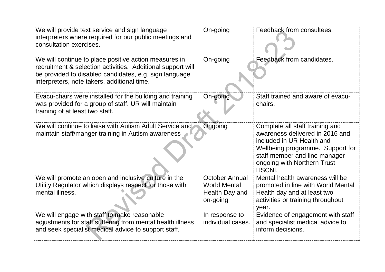| We will provide text service and sign language<br>interpreters where required for our public meetings and<br>consultation exercises.                                                                                          | On-going                                                                   | Feedback from consultees.                                                                                                                                                                                            |
|-------------------------------------------------------------------------------------------------------------------------------------------------------------------------------------------------------------------------------|----------------------------------------------------------------------------|----------------------------------------------------------------------------------------------------------------------------------------------------------------------------------------------------------------------|
| We will continue to place positive action measures in<br>recruitment & selection activities. Additional support will<br>be provided to disabled candidates, e.g. sign language<br>interpreters, note takers, additional time. | On-going                                                                   | Feedback from candidates.                                                                                                                                                                                            |
| Evacu-chairs were installed for the building and training<br>was provided for a group of staff. UR will maintain<br>training of at least two staff.                                                                           | On-going                                                                   | Staff trained and aware of evacu-<br>chairs.                                                                                                                                                                         |
| We will continue to liaise with Autism Adult Service and<br>maintain staff/manger training in Autism awareness                                                                                                                | Ongoing                                                                    | Complete all staff training and<br>awareness delivered in 2016 and<br>included in UR Health and<br>Wellbeing programme. Support for<br>staff member and line manager<br>ongoing with Northern Trust<br><b>HSCNI.</b> |
| We will promote an open and inclusive culture in the<br>Utility Regulator which displays respect for those with<br>mental illness.                                                                                            | <b>October Annual</b><br><b>World Mental</b><br>Health Day and<br>on-going | Mental health awareness will be<br>promoted in line with World Mental<br>Health day and at least two<br>activities or training throughout<br>year.                                                                   |
| We will engage with staff to make reasonable<br>adjustments for staff suffering from mental health illness<br>and seek specialist medical advice to support staff.                                                            | In response to<br>individual cases.                                        | Evidence of engagement with staff<br>and specialist medical advice to<br>inform decisions.                                                                                                                           |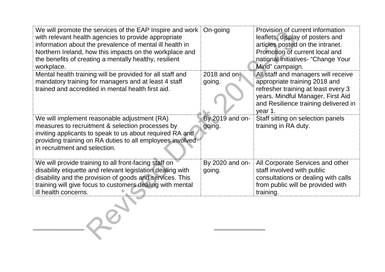| We will promote the services of the EAP Inspire and work<br>with relevant health agencies to provide appropriate<br>information about the prevalence of mental ill health in<br>Northern Ireland, how this impacts on the workplace and<br>the benefits of creating a mentally healthy, resilient<br>workplace. | On-going                  | Provision of current information<br>leaflets, display of posters and<br>articles posted on the intranet.<br>Promotion of current local and<br>national initiatives- "Change Your<br>Mind" campaign. |
|-----------------------------------------------------------------------------------------------------------------------------------------------------------------------------------------------------------------------------------------------------------------------------------------------------------------|---------------------------|-----------------------------------------------------------------------------------------------------------------------------------------------------------------------------------------------------|
| Mental health training will be provided for all staff and<br>mandatory training for managers and at least 4 staff<br>trained and accredited in mental health first aid.                                                                                                                                         | 2018 and on-<br>going.    | All staff and managers will receive<br>appropriate training 2018 and<br>refresher training at least every 3<br>years. Mindful Manager, First Aid<br>and Resilience training delivered in<br>year 1. |
| We will implement reasonable adjustment (RA)<br>measures to recruitment & selection processes by<br>inviting applicants to speak to us about required RA and<br>providing training on RA duties to all employees involved<br>in recruitment and selection.                                                      | By 2019 and on-<br>going. | Staff sitting on selection panels<br>training in RA duty.                                                                                                                                           |
| We will provide training to all front-facing staff on<br>disability etiquette and relevant legislation dealing with<br>disability and the provision of goods and services. This<br>training will give focus to customers dealing with mental<br>ill health concerns.                                            | By 2020 and on-<br>going. | All Corporate Services and other<br>staff involved with public<br>consultations or dealing with calls<br>from public will be provided with<br>training.                                             |

———————— ————————